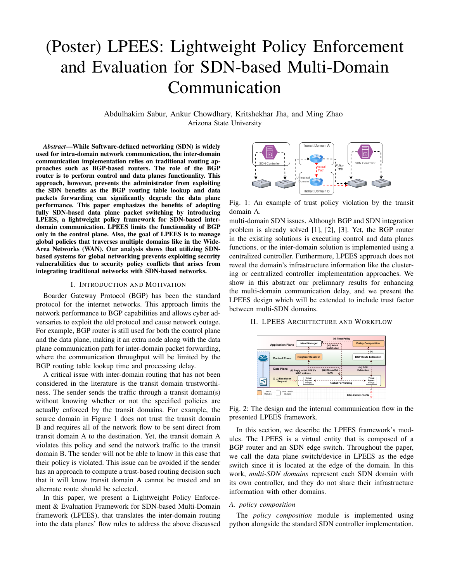# (Poster) LPEES: Lightweight Policy Enforcement and Evaluation for SDN-based Multi-Domain Communication

Abdulhakim Sabur, Ankur Chowdhary, Kritshekhar Jha, and Ming Zhao Arizona State University

*Abstract*—While Software-defined networking (SDN) is widely used for intra-domain network communication, the inter-domain communication implementation relies on traditional routing approaches such as BGP-based routers. The role of the BGP router is to perform control and data planes functionality. This approach, however, prevents the administrator from exploiting the SDN benefits as the BGP routing table lookup and data packets forwarding can significantly degrade the data plane performance. This paper emphasizes the benefits of adopting fully SDN-based data plane packet switching by introducing LPEES, a lightweight policy framework for SDN-based interdomain communication. LPEES limits the functionality of BGP only in the control plane. Also, the goal of LPEES is to manage global policies that traverses multiple domains like in the Wide-Area Networks (WAN). Our analysis shows that utilizing SDNbased systems for global networking prevents exploiting security vulnerabilities due to security policy conflicts that arises from integrating traditional networks with SDN-based networks.

#### I. INTRODUCTION AND MOTIVATION

Boarder Gateway Protocol (BGP) has been the standard protocol for the internet networks. This approach limits the network performance to BGP capabilities and allows cyber adversaries to exploit the old protocol and cause network outage. For example, BGP router is still used for both the control plane and the data plane, making it an extra node along with the data plane communication path for inter-domain packet forwarding, where the communication throughput will be limited by the BGP routing table lookup time and processing delay.

A critical issue with inter-domain routing that has not been considered in the literature is the transit domain trustworthiness. The sender sends the traffic through a transit domain(s) without knowing whether or not the specified policies are actually enforced by the transit domains. For example, the source domain in Figure 1 does not trust the transit domain B and requires all of the network flow to be sent direct from transit domain A to the destination. Yet, the transit domain A violates this policy and send the network traffic to the transit domain B. The sender will not be able to know in this case that their policy is violated. This issue can be avoided if the sender has an approach to compute a trust-based routing decision such that it will know transit domain A cannot be trusted and an alternate route should be selected.

In this paper, we present a Lightweight Policy Enforcement & Evaluation Framework for SDN-based Multi-Domain framework (LPEES), that translates the inter-domain routing into the data planes' flow rules to address the above discussed



Fig. 1: An example of trust policy violation by the transit domain A.

multi-domain SDN issues. Although BGP and SDN integration problem is already solved [1], [2], [3]. Yet, the BGP router in the existing solutions is executing control and data planes functions, or the inter-domain solution is implemented using a centralized controller. Furthermore, LPEES approach does not reveal the domain's infrastructure information like the clustering or centralized controller implementation approaches. We show in this abstract our prelimnary results for enhancing the multi-domain communication delay, and we present the LPEES design which will be extended to include trust factor between multi-SDN domains.

#### II. LPEES ARCHITECTURE AND WORKFLOW



Fig. 2: The design and the internal communication flow in the presented LPEES framework.

In this section, we describe the LPEES framework's modules. The LPEES is a virtual entity that is composed of a BGP router and an SDN edge switch. Throughout the paper, we call the data plane switch/device in LPEES as the edge switch since it is located at the edge of the domain. In this work, *multi-SDN domains* represent each SDN domain with its own controller, and they do not share their infrastructure information with other domains.

## *A. policy composition*

The *policy composition* module is implemented using python alongside the standard SDN controller implementation.